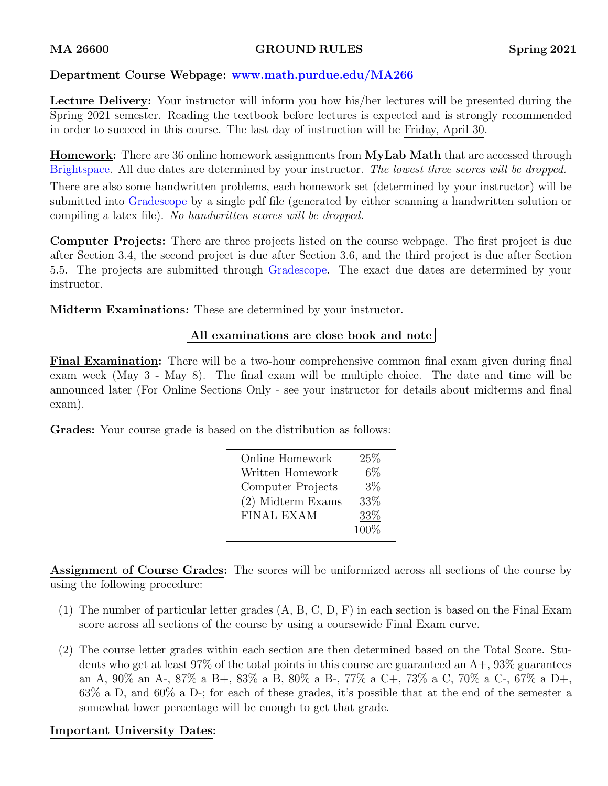#### MA 26600 GROUND RULES Spring 2021

#### Department Course Webpage: [www.math.purdue.edu/MA266](https://www.math.purdue.edu/MA266)

Lecture Delivery: Your instructor will inform you how his/her lectures will be presented during the Spring 2021 semester. Reading the textbook before lectures is expected and is strongly recommended in order to succeed in this course. The last day of instruction will be Friday, April 30.

**Homework:** There are 36 online homework assignments from **MyLab Math** that are accessed through Brightspace. All due dates are determined by your instructor. The lowest three scores will be dropped.

There are also some handwritten problems, each homework set (determined by your instructor) will be submitted into Gradescope by a single pdf file (generated by either scanning a handwritten solution or compiling a latex file). No handwritten scores will be dropped.

Computer Projects: There are three projects listed on the course webpage. The first project is due after Section 3.4, the second project is due after Section 3.6, and the third project is due after Section 5.5. The projects are submitted through Gradescope. The exact due dates are determined by your instructor.

Midterm Examinations: These are determined by your instructor.

## All examinations are close book and note

Final Examination: There will be a two-hour comprehensive common final exam given during final exam week (May 3 - May 8). The final exam will be multiple choice. The date and time will be announced later (For Online Sections Only - see your instructor for details about midterms and final exam).

Grades: Your course grade is based on the distribution as follows:

| Online Homework   | 25%   |
|-------------------|-------|
| Written Homework  | $6\%$ |
| Computer Projects | $3\%$ |
| (2) Midterm Exams | 33\%  |
| FINAL EXAM        | 33\%  |
|                   | 100\% |

Assignment of Course Grades: The scores will be uniformized across all sections of the course by using the following procedure:

- (1) The number of particular letter grades (A, B, C, D, F) in each section is based on the Final Exam score across all sections of the course by using a coursewide Final Exam curve.
- (2) The course letter grades within each section are then determined based on the Total Score. Students who get at least  $97\%$  of the total points in this course are guaranteed an  $A_+$ ,  $93\%$  guarantees an A, 90% an A-, 87% a B+, 83% a B, 80% a B-, 77% a C+, 73% a C, 70% a C-, 67% a D+, 63% a D, and 60% a D-; for each of these grades, it's possible that at the end of the semester a somewhat lower percentage will be enough to get that grade.

## Important University Dates: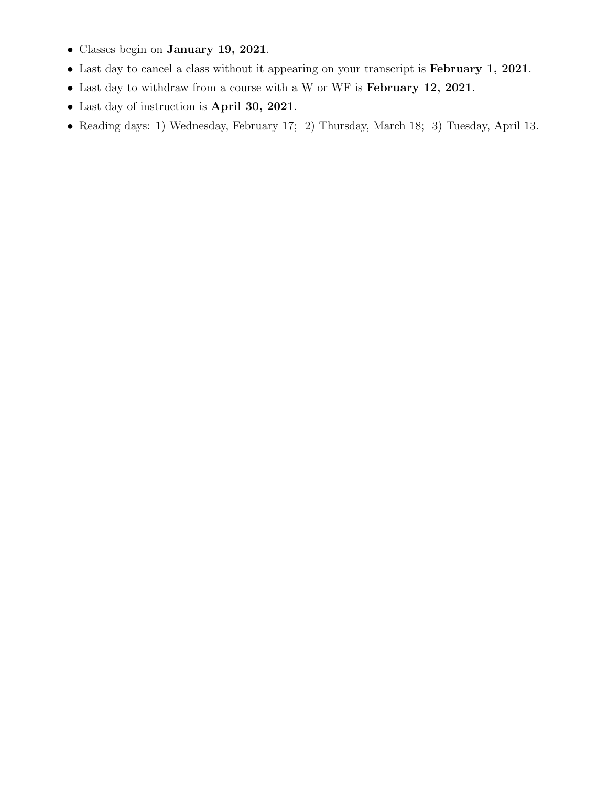- Classes begin on January 19, 2021.
- Last day to cancel a class without it appearing on your transcript is February 1, 2021.
- Last day to withdraw from a course with a W or WF is February 12, 2021.
- Last day of instruction is April 30, 2021.
- Reading days: 1) Wednesday, February 17; 2) Thursday, March 18; 3) Tuesday, April 13.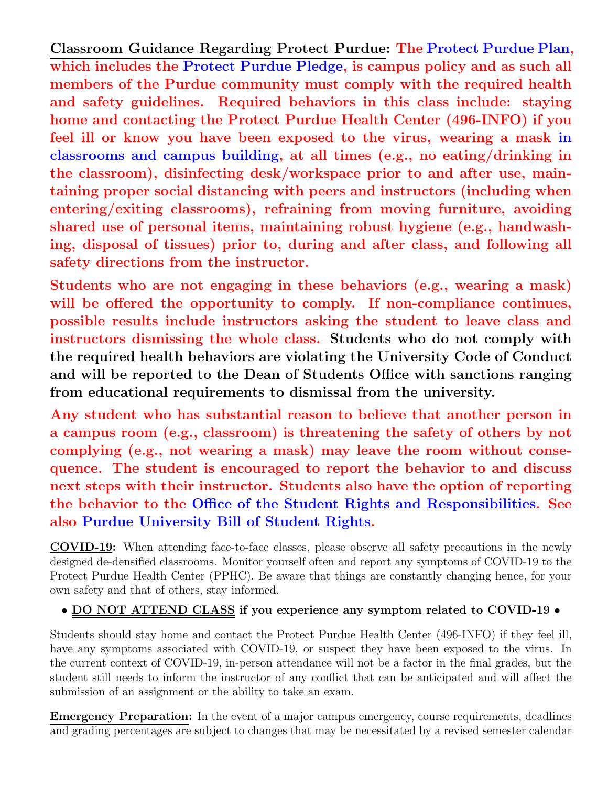Classroom Guidance Regarding Protect Purdue: The [Protect Purdue Plan,](https://protect.purdue.edu/app/uploads/2020/06/protect-purdue-plan-20200612.pdf) which includes the [Protect Purdue Pledge,](https://protect.purdue.edu/pledge/) is campus policy and as such all members of the Purdue community must comply with the required health and safety guidelines. Required behaviors in this class include: staying home and contacting the Protect Purdue Health Center (496-INFO) if you feel ill or know you have been exposed to the virus, wearing a mask [in](https://protect.purdue.edu/updates/face-covering-protocols/) [classrooms and campus building,](https://protect.purdue.edu/updates/face-covering-protocols/) at all times (e.g., no eating/drinking in the classroom), disinfecting desk/workspace prior to and after use, maintaining proper social distancing with peers and instructors (including when entering/exiting classrooms), refraining from moving furniture, avoiding shared use of personal items, maintaining robust hygiene (e.g., handwashing, disposal of tissues) prior to, during and after class, and following all safety directions from the instructor.

Students who are not engaging in these behaviors (e.g., wearing a mask) will be offered the opportunity to comply. If non-compliance continues, possible results include instructors asking the student to leave class and instructors dismissing the whole class. Students who do not comply with the required health behaviors are violating the University Code of Conduct and will be reported to the Dean of Students Office with sanctions ranging from educational requirements to dismissal from the university.

Any student who has substantial reason to believe that another person in a campus room (e.g., classroom) is threatening the safety of others by not complying (e.g., not wearing a mask) may leave the room without consequence. The student is encouraged to report the behavior to and discuss next steps with their instructor. Students also have the option of reporting the behavior to the [Office of the Student Rights and Responsibilities.](https://www.purdue.edu/odos/osrr/) See also [Purdue University Bill of Student Rights.](https://catalog.purdue.edu/content.php?catoid=7&navoid=2852#purdue-university-bill-of-student-rights)

COVID-19: When attending face-to-face classes, please observe all safety precautions in the newly designed de-densified classrooms. Monitor yourself often and report any symptoms of COVID-19 to the Protect Purdue Health Center (PPHC). Be aware that things are constantly changing hence, for your own safety and that of others, stay informed.

# • DO NOT ATTEND CLASS if you experience any symptom related to COVID-19 •

Students should stay home and contact the Protect Purdue Health Center (496-INFO) if they feel ill, have any symptoms associated with COVID-19, or suspect they have been exposed to the virus. In the current context of COVID-19, in-person attendance will not be a factor in the final grades, but the student still needs to inform the instructor of any conflict that can be anticipated and will affect the submission of an assignment or the ability to take an exam.

Emergency Preparation: In the event of a major campus emergency, course requirements, deadlines and grading percentages are subject to changes that may be necessitated by a revised semester calendar